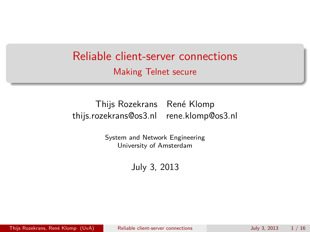# Reliable client-server connections Making Telnet secure

#### Thijs Rozekrans Ren´e Klomp thijs.rozekrans@os3.nl rene.klomp@os3.nl

System and Network Engineering University of Amsterdam

<span id="page-0-0"></span>July 3, 2013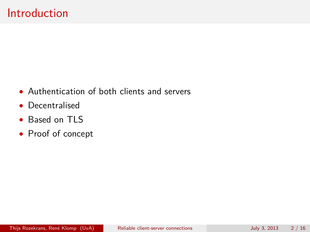- Authentication of both clients and servers
- Decentralised
- Based on TLS
- Proof of concept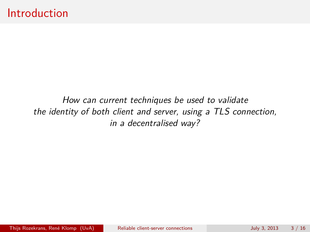How can current techniques be used to validate the identity of both client and server, using a TLS connection, in a decentralised way?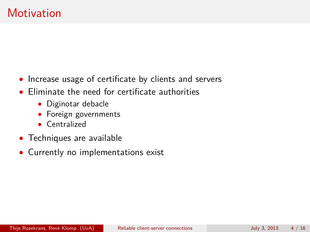- Increase usage of certificate by clients and servers
- Eliminate the need for certificate authorities
	- Diginotar debacle
	- Foreign governments
	- Centralized
- Techniques are available
- Currently no implementations exist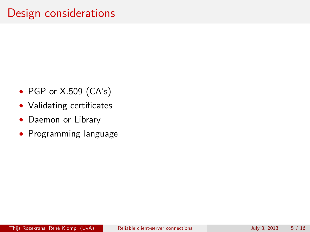- PGP or X.509 (CA's)
- Validating certificates
- Daemon or Library
- Programming language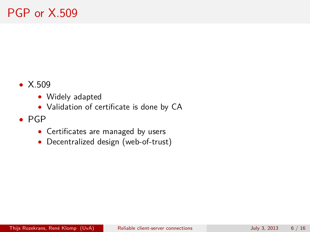- X.509
	- Widely adapted
	- Validation of certificate is done by CA
- PGP
	- Certificates are managed by users
	- Decentralized design (web-of-trust)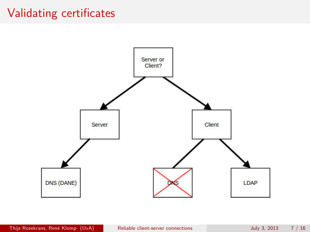# Validating certificates

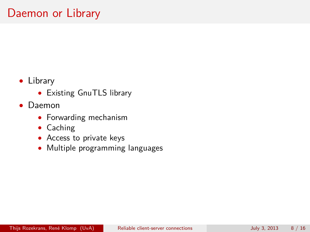# Daemon or Library

- Library
	- Existing GnuTLS library
- Daemon
	- Forwarding mechanism
	- Caching
	- Access to private keys
	- Multiple programming languages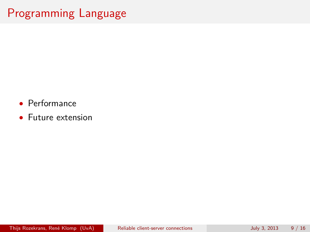# Programming Language

- Performance
- Future extension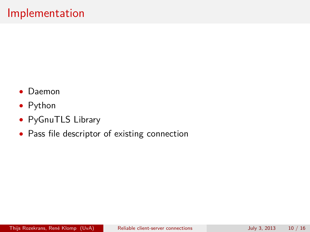- Daemon
- Python
- PyGnuTLS Library
- Pass file descriptor of existing connection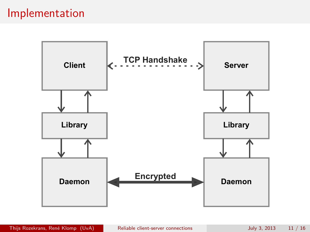### Implementation

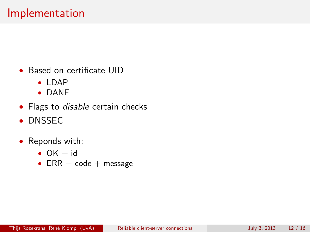- Based on certificate UID
	- LDAP
	- DANE
- Flags to *disable* certain checks
- DNSSEC
- Reponds with:
	- $OK + id$
	- $ERR + code + message$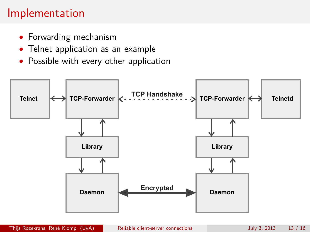# Implementation

- Forwarding mechanism
- Telnet application as an example
- Possible with every other application

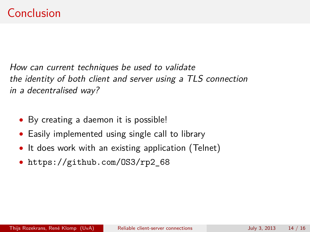How can current techniques be used to validate the identity of both client and server using a TLS connection in a decentralised way?

- By creating a daemon it is possible!
- Easily implemented using single call to library
- It does work with an existing application (Telnet)
- https://github.com/0S3/rp2 68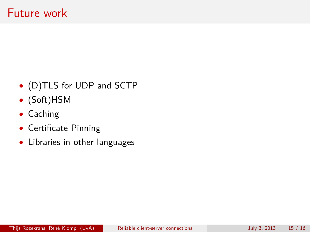- (D)TLS for UDP and SCTP
- (Soft)HSM
- Caching
- Certificate Pinning
- Libraries in other languages